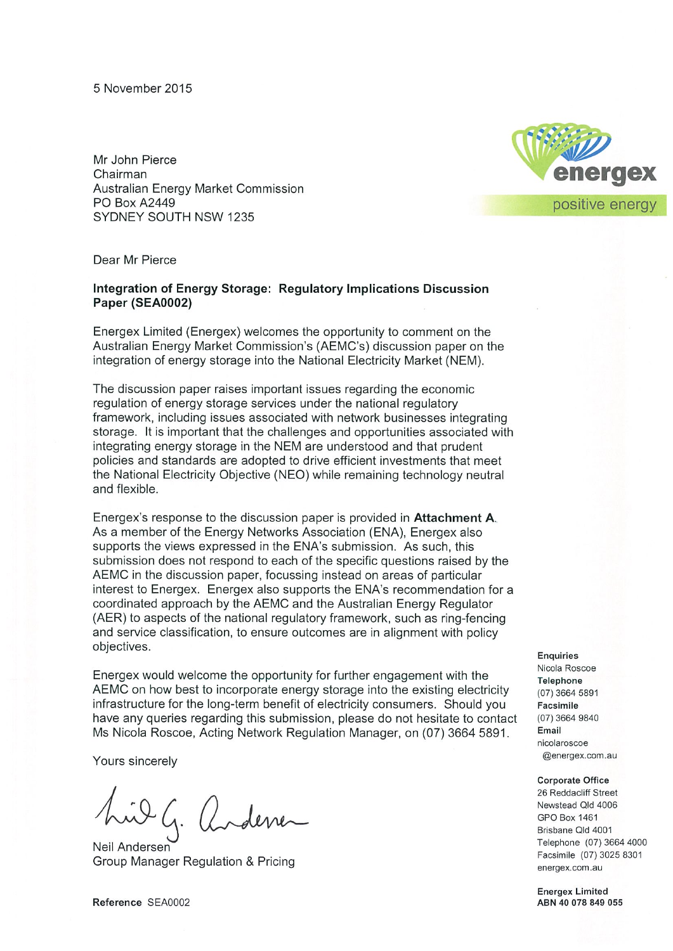5 November 2015

Mr John Pierce Chairman Australian Energy Market Commission **PO Box A2449** SYDNEY SOUTH NSW 1235



Dear Mr Pierce

#### Integration of Energy Storage: Regulatory Implications Discussion Paper (SEA0002)

Energex Limited (Energex) welcomes the opportunity to comment on the Australian Energy Market Commission's (AEMC's) discussion paper on the integration of energy storage into the National Electricity Market (NEM).

The discussion paper raises important issues regarding the economic regulation of energy storage services under the national regulatory framework, including issues associated with network businesses integrating storage. It is important that the challenges and opportunities associated with integrating energy storage in the NEM are understood and that prudent policies and standards are adopted to drive efficient investments that meet the National Electricity Objective (NEO) while remaining technology neutral and flexible.

Energex's response to the discussion paper is provided in Attachment A. As a member of the Energy Networks Association (ENA), Energex also supports the views expressed in the ENA's submission. As such, this submission does not respond to each of the specific questions raised by the AEMC in the discussion paper, focussing instead on areas of particular interest to Energex. Energex also supports the ENA's recommendation for a coordinated approach by the AEMC and the Australian Energy Regulator (AER) to aspects of the national regulatory framework, such as ring-fencing and service classification, to ensure outcomes are in alignment with policy objectives.

Energex would welcome the opportunity for further engagement with the AEMC on how best to incorporate energy storage into the existing electricity infrastructure for the long-term benefit of electricity consumers. Should you have any queries regarding this submission, please do not hesitate to contact Ms Nicola Roscoe, Acting Network Regulation Manager, on (07) 3664 5891.

Yours sincerely

Neil Andersen Group Manager Regulation & Pricing

**Enquiries** Nicola Roscoe **Telephone** (07) 3664 5891 Facsimile (07) 3664 9840 Email nicolaroscoe @energex.com.au

#### **Corporate Office**

26 Reddacliff Street Newstead Qld 4006 **GPO Box 1461** Brisbane Qld 4001 Telephone (07) 3664 4000 Facsimile (07) 3025 8301 energex.com.au

**Energex Limited** ABN 40 078 849 055

Reference SEA0002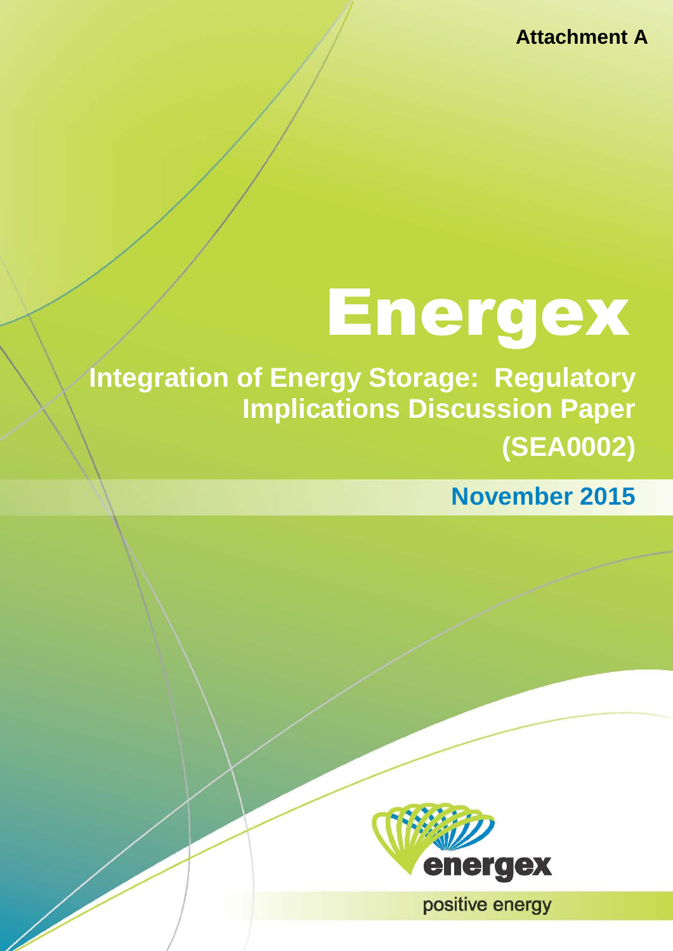# Energex

**Integration of Energy Storage: Regulatory Implications Discussion Paper (SEA0002)** 

**November 2015**



positive energy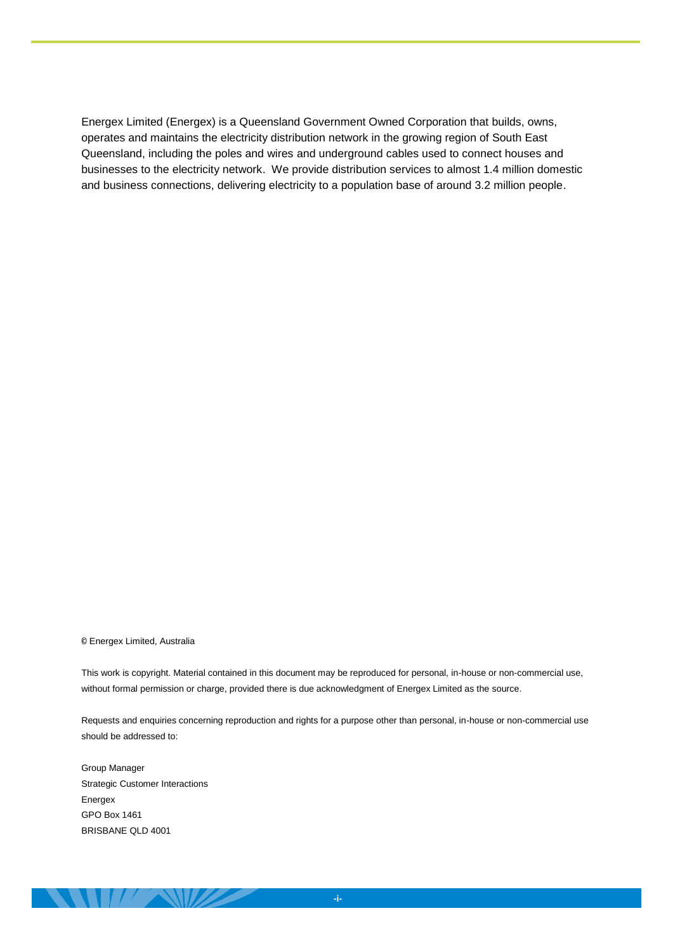Energex Limited (Energex) is a Queensland Government Owned Corporation that builds, owns, operates and maintains the electricity distribution network in the growing region of South East Queensland, including the poles and wires and underground cables used to connect houses and businesses to the electricity network. We provide distribution services to almost 1.4 million domestic and business connections, delivering electricity to a population base of around 3.2 million people.

© Energex Limited, Australia

This work is copyright. Material contained in this document may be reproduced for personal, in-house or non-commercial use, without formal permission or charge, provided there is due acknowledgment of Energex Limited as the source.

Requests and enquiries concerning reproduction and rights for a purpose other than personal, in-house or non-commercial use should be addressed to:

Group Manager Strategic Customer Interactions Energex GPO Box 1461 BRISBANE QLD 4001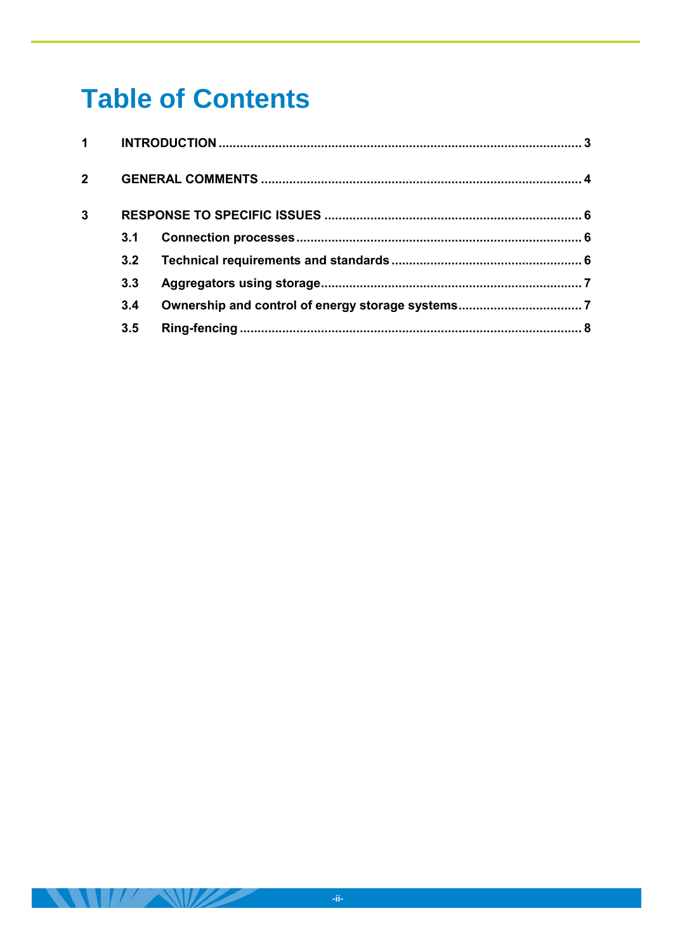# **Table of Contents**

| 2 <sup>1</sup> |     |  |  |
|----------------|-----|--|--|
| 3              |     |  |  |
|                | 3.1 |  |  |
|                | 3.2 |  |  |
|                | 3.3 |  |  |
|                | 3.4 |  |  |
|                | 3.5 |  |  |
|                |     |  |  |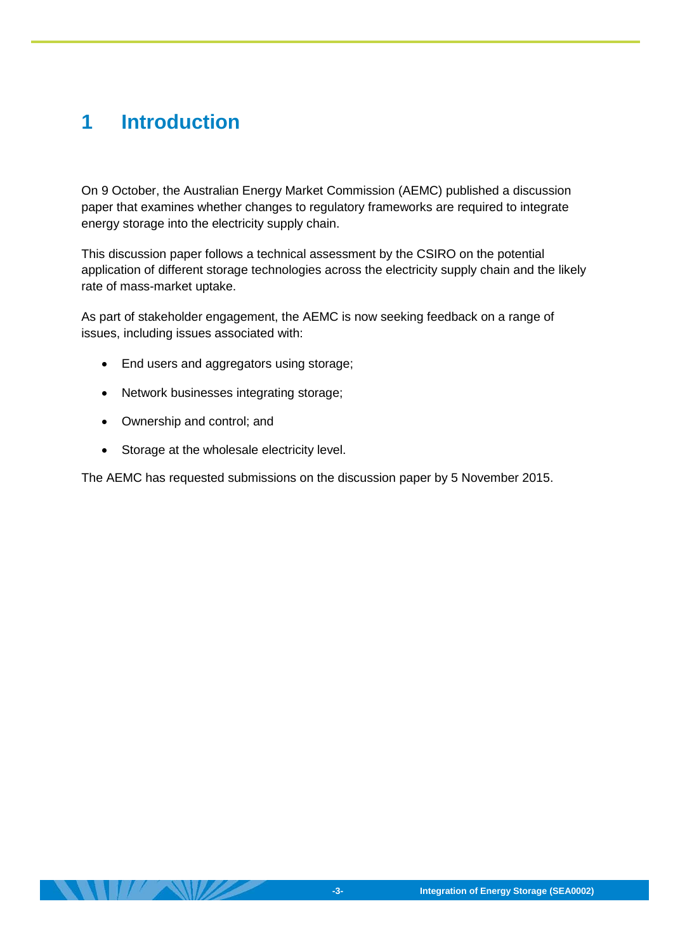# <span id="page-4-0"></span>**1 Introduction**

On 9 October, the Australian Energy Market Commission (AEMC) published a discussion paper that examines whether changes to regulatory frameworks are required to integrate energy storage into the electricity supply chain.

This discussion paper follows a technical assessment by the CSIRO on the potential application of different storage technologies across the electricity supply chain and the likely rate of mass-market uptake.

As part of stakeholder engagement, the AEMC is now seeking feedback on a range of issues, including issues associated with:

- End users and aggregators using storage;
- Network businesses integrating storage;
- Ownership and control; and
- Storage at the wholesale electricity level.

The AEMC has requested submissions on the discussion paper by 5 November 2015.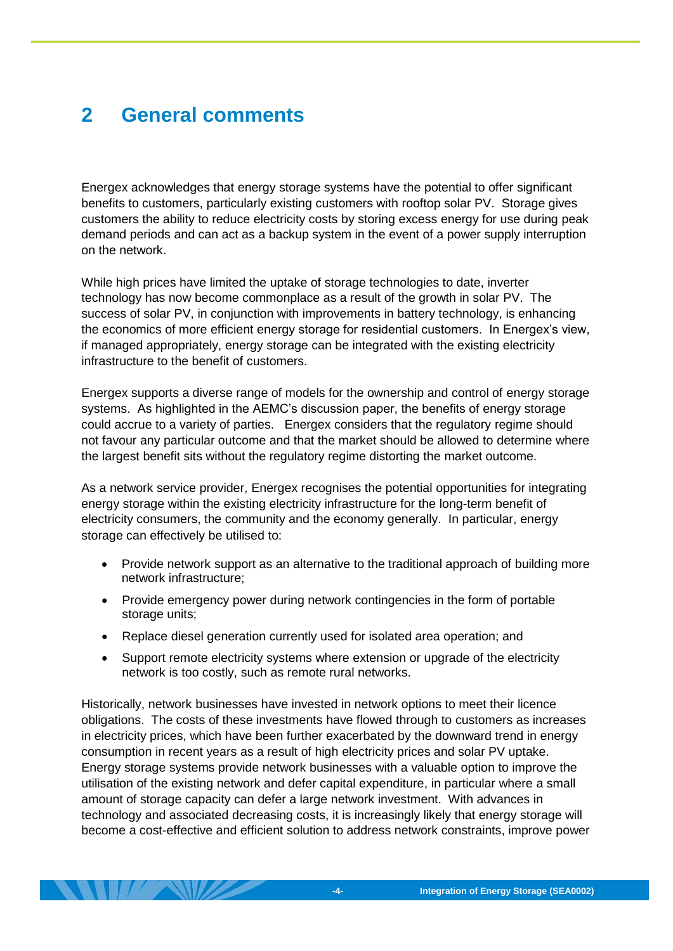# <span id="page-5-0"></span>**2 General comments**

Energex acknowledges that energy storage systems have the potential to offer significant benefits to customers, particularly existing customers with rooftop solar PV. Storage gives customers the ability to reduce electricity costs by storing excess energy for use during peak demand periods and can act as a backup system in the event of a power supply interruption on the network.

While high prices have limited the uptake of storage technologies to date, inverter technology has now become commonplace as a result of the growth in solar PV. The success of solar PV, in conjunction with improvements in battery technology, is enhancing the economics of more efficient energy storage for residential customers. In Energex's view, if managed appropriately, energy storage can be integrated with the existing electricity infrastructure to the benefit of customers.

Energex supports a diverse range of models for the ownership and control of energy storage systems. As highlighted in the AEMC's discussion paper, the benefits of energy storage could accrue to a variety of parties. Energex considers that the regulatory regime should not favour any particular outcome and that the market should be allowed to determine where the largest benefit sits without the regulatory regime distorting the market outcome.

As a network service provider, Energex recognises the potential opportunities for integrating energy storage within the existing electricity infrastructure for the long-term benefit of electricity consumers, the community and the economy generally. In particular, energy storage can effectively be utilised to:

- Provide network support as an alternative to the traditional approach of building more network infrastructure;
- Provide emergency power during network contingencies in the form of portable storage units;
- Replace diesel generation currently used for isolated area operation; and
- Support remote electricity systems where extension or upgrade of the electricity network is too costly, such as remote rural networks.

Historically, network businesses have invested in network options to meet their licence obligations. The costs of these investments have flowed through to customers as increases in electricity prices, which have been further exacerbated by the downward trend in energy consumption in recent years as a result of high electricity prices and solar PV uptake. Energy storage systems provide network businesses with a valuable option to improve the utilisation of the existing network and defer capital expenditure, in particular where a small amount of storage capacity can defer a large network investment. With advances in technology and associated decreasing costs, it is increasingly likely that energy storage will become a cost-effective and efficient solution to address network constraints, improve power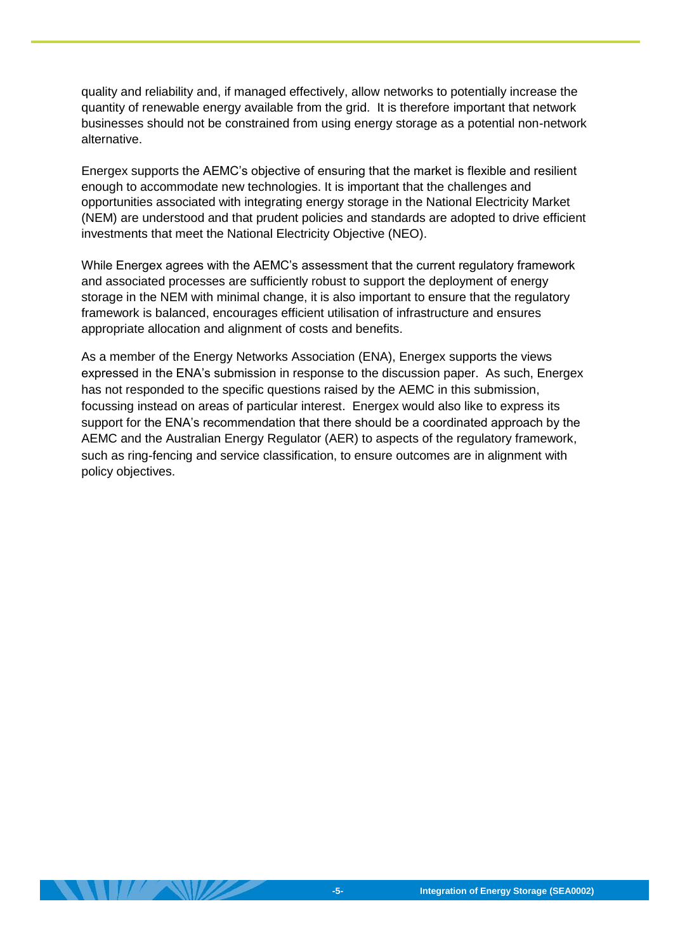quality and reliability and, if managed effectively, allow networks to potentially increase the quantity of renewable energy available from the grid. It is therefore important that network businesses should not be constrained from using energy storage as a potential non-network alternative.

Energex supports the AEMC's objective of ensuring that the market is flexible and resilient enough to accommodate new technologies. It is important that the challenges and opportunities associated with integrating energy storage in the National Electricity Market (NEM) are understood and that prudent policies and standards are adopted to drive efficient investments that meet the National Electricity Objective (NEO).

While Energex agrees with the AEMC's assessment that the current regulatory framework and associated processes are sufficiently robust to support the deployment of energy storage in the NEM with minimal change, it is also important to ensure that the regulatory framework is balanced, encourages efficient utilisation of infrastructure and ensures appropriate allocation and alignment of costs and benefits.

As a member of the Energy Networks Association (ENA), Energex supports the views expressed in the ENA's submission in response to the discussion paper. As such, Energex has not responded to the specific questions raised by the AEMC in this submission, focussing instead on areas of particular interest. Energex would also like to express its support for the ENA's recommendation that there should be a coordinated approach by the AEMC and the Australian Energy Regulator (AER) to aspects of the regulatory framework, such as ring-fencing and service classification, to ensure outcomes are in alignment with policy objectives.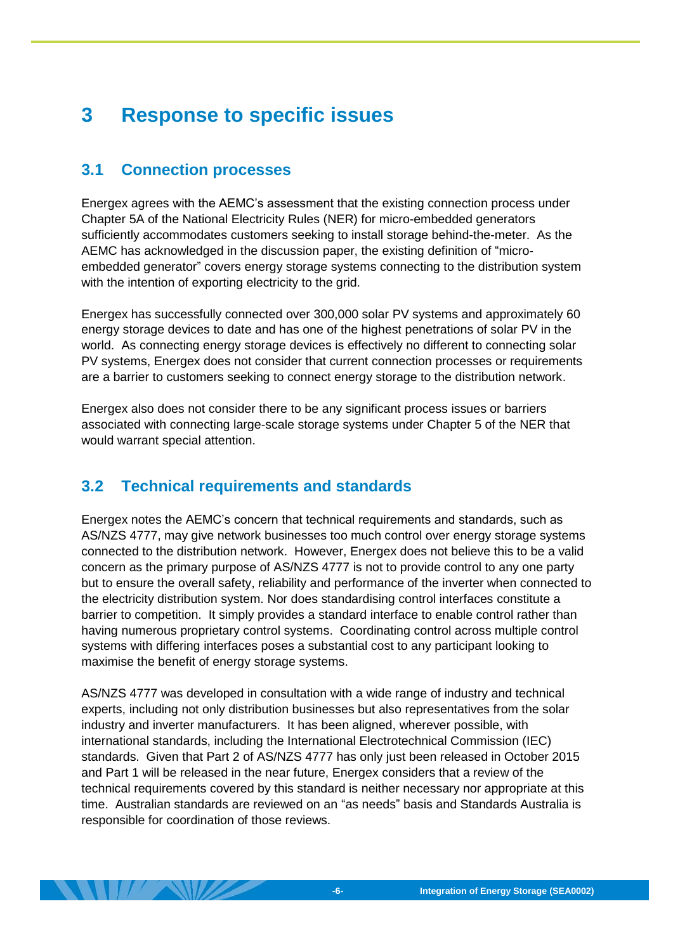# <span id="page-7-0"></span>**3 Response to specific issues**

#### <span id="page-7-1"></span>**3.1 Connection processes**

Energex agrees with the AEMC's assessment that the existing connection process under Chapter 5A of the National Electricity Rules (NER) for micro-embedded generators sufficiently accommodates customers seeking to install storage behind-the-meter. As the AEMC has acknowledged in the discussion paper, the existing definition of "microembedded generator" covers energy storage systems connecting to the distribution system with the intention of exporting electricity to the grid.

Energex has successfully connected over 300,000 solar PV systems and approximately 60 energy storage devices to date and has one of the highest penetrations of solar PV in the world. As connecting energy storage devices is effectively no different to connecting solar PV systems, Energex does not consider that current connection processes or requirements are a barrier to customers seeking to connect energy storage to the distribution network.

Energex also does not consider there to be any significant process issues or barriers associated with connecting large-scale storage systems under Chapter 5 of the NER that would warrant special attention.

## <span id="page-7-2"></span>**3.2 Technical requirements and standards**

Energex notes the AEMC's concern that technical requirements and standards, such as AS/NZS 4777, may give network businesses too much control over energy storage systems connected to the distribution network. However, Energex does not believe this to be a valid concern as the primary purpose of AS/NZS 4777 is not to provide control to any one party but to ensure the overall safety, reliability and performance of the inverter when connected to the electricity distribution system. Nor does standardising control interfaces constitute a barrier to competition. It simply provides a standard interface to enable control rather than having numerous proprietary control systems. Coordinating control across multiple control systems with differing interfaces poses a substantial cost to any participant looking to maximise the benefit of energy storage systems.

AS/NZS 4777 was developed in consultation with a wide range of industry and technical experts, including not only distribution businesses but also representatives from the solar industry and inverter manufacturers. It has been aligned, wherever possible, with international standards, including the International Electrotechnical Commission (IEC) standards. Given that Part 2 of AS/NZS 4777 has only just been released in October 2015 and Part 1 will be released in the near future, Energex considers that a review of the technical requirements covered by this standard is neither necessary nor appropriate at this time. Australian standards are reviewed on an "as needs" basis and Standards Australia is responsible for coordination of those reviews.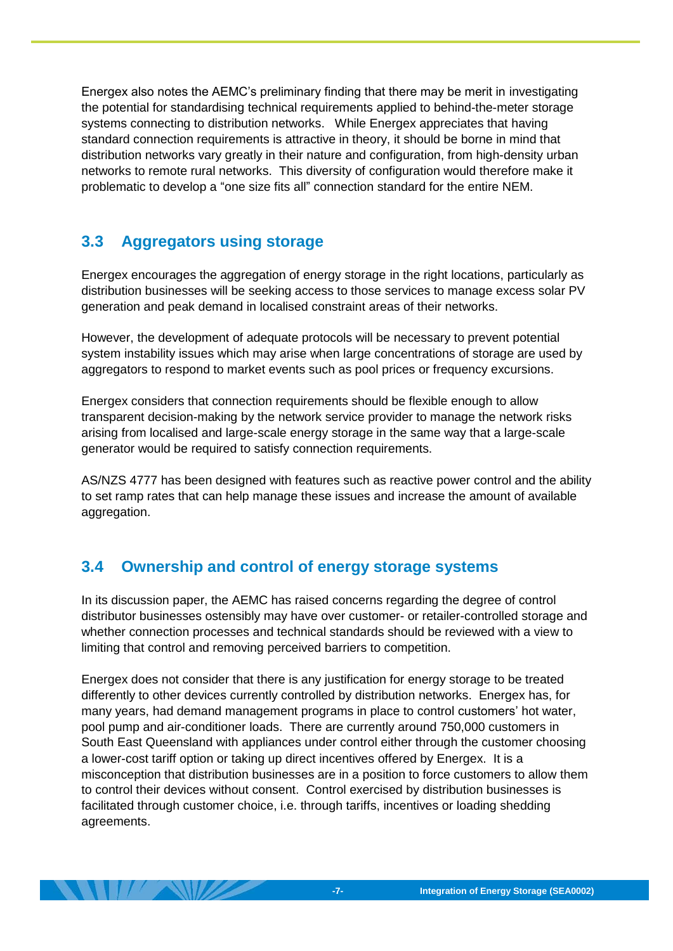Energex also notes the AEMC's preliminary finding that there may be merit in investigating the potential for standardising technical requirements applied to behind-the-meter storage systems connecting to distribution networks. While Energex appreciates that having standard connection requirements is attractive in theory, it should be borne in mind that distribution networks vary greatly in their nature and configuration, from high-density urban networks to remote rural networks. This diversity of configuration would therefore make it problematic to develop a "one size fits all" connection standard for the entire NEM.

## <span id="page-8-0"></span>**3.3 Aggregators using storage**

Energex encourages the aggregation of energy storage in the right locations, particularly as distribution businesses will be seeking access to those services to manage excess solar PV generation and peak demand in localised constraint areas of their networks.

However, the development of adequate protocols will be necessary to prevent potential system instability issues which may arise when large concentrations of storage are used by aggregators to respond to market events such as pool prices or frequency excursions.

Energex considers that connection requirements should be flexible enough to allow transparent decision-making by the network service provider to manage the network risks arising from localised and large-scale energy storage in the same way that a large-scale generator would be required to satisfy connection requirements.

AS/NZS 4777 has been designed with features such as reactive power control and the ability to set ramp rates that can help manage these issues and increase the amount of available aggregation.

## <span id="page-8-1"></span>**3.4 Ownership and control of energy storage systems**

In its discussion paper, the AEMC has raised concerns regarding the degree of control distributor businesses ostensibly may have over customer- or retailer-controlled storage and whether connection processes and technical standards should be reviewed with a view to limiting that control and removing perceived barriers to competition.

Energex does not consider that there is any justification for energy storage to be treated differently to other devices currently controlled by distribution networks. Energex has, for many years, had demand management programs in place to control customers' hot water, pool pump and air-conditioner loads. There are currently around 750,000 customers in South East Queensland with appliances under control either through the customer choosing a lower-cost tariff option or taking up direct incentives offered by Energex. It is a misconception that distribution businesses are in a position to force customers to allow them to control their devices without consent. Control exercised by distribution businesses is facilitated through customer choice, i.e. through tariffs, incentives or loading shedding agreements.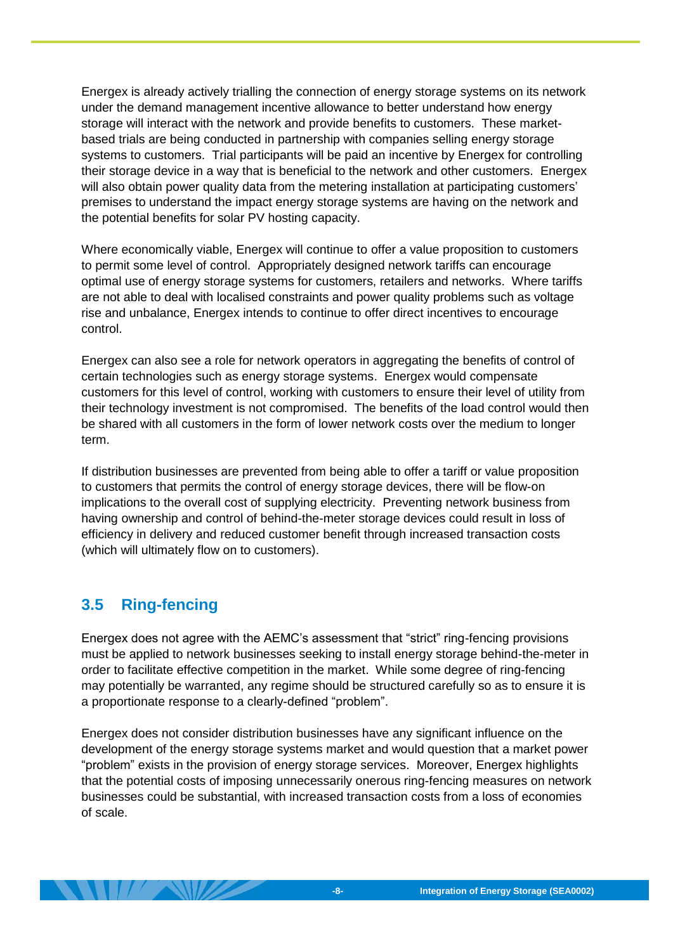Energex is already actively trialling the connection of energy storage systems on its network under the demand management incentive allowance to better understand how energy storage will interact with the network and provide benefits to customers. These marketbased trials are being conducted in partnership with companies selling energy storage systems to customers. Trial participants will be paid an incentive by Energex for controlling their storage device in a way that is beneficial to the network and other customers. Energex will also obtain power quality data from the metering installation at participating customers' premises to understand the impact energy storage systems are having on the network and the potential benefits for solar PV hosting capacity.

Where economically viable, Energex will continue to offer a value proposition to customers to permit some level of control. Appropriately designed network tariffs can encourage optimal use of energy storage systems for customers, retailers and networks. Where tariffs are not able to deal with localised constraints and power quality problems such as voltage rise and unbalance, Energex intends to continue to offer direct incentives to encourage control.

Energex can also see a role for network operators in aggregating the benefits of control of certain technologies such as energy storage systems. Energex would compensate customers for this level of control, working with customers to ensure their level of utility from their technology investment is not compromised. The benefits of the load control would then be shared with all customers in the form of lower network costs over the medium to longer term.

If distribution businesses are prevented from being able to offer a tariff or value proposition to customers that permits the control of energy storage devices, there will be flow-on implications to the overall cost of supplying electricity. Preventing network business from having ownership and control of behind-the-meter storage devices could result in loss of efficiency in delivery and reduced customer benefit through increased transaction costs (which will ultimately flow on to customers).

#### <span id="page-9-0"></span>**3.5 Ring-fencing**

Energex does not agree with the AEMC's assessment that "strict" ring-fencing provisions must be applied to network businesses seeking to install energy storage behind-the-meter in order to facilitate effective competition in the market. While some degree of ring-fencing may potentially be warranted, any regime should be structured carefully so as to ensure it is a proportionate response to a clearly-defined "problem".

Energex does not consider distribution businesses have any significant influence on the development of the energy storage systems market and would question that a market power "problem" exists in the provision of energy storage services. Moreover, Energex highlights that the potential costs of imposing unnecessarily onerous ring-fencing measures on network businesses could be substantial, with increased transaction costs from a loss of economies of scale.